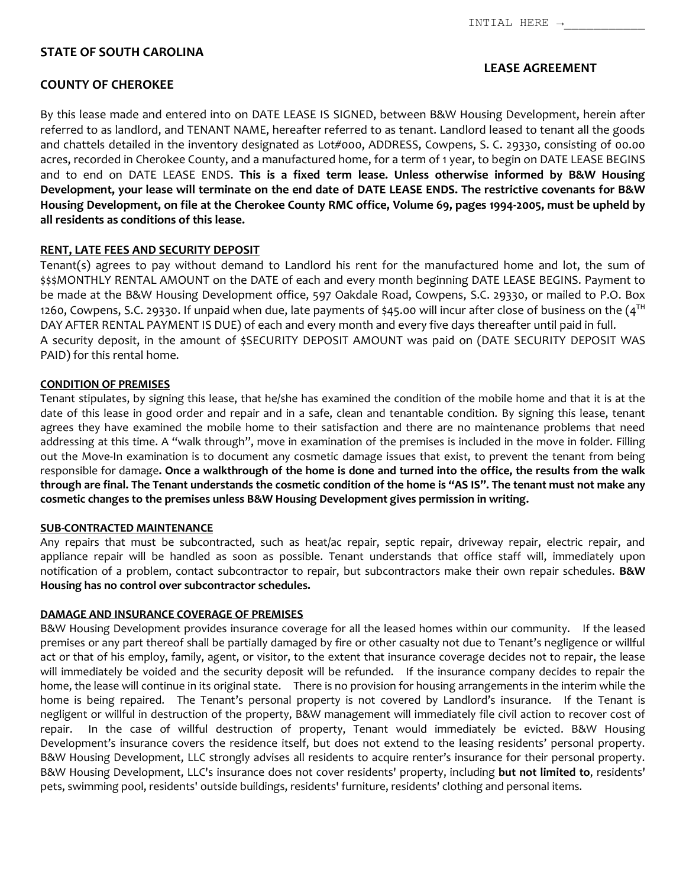# **STATE OF SOUTH CAROLINA**

# **LEASE AGREEMENT**

By this lease made and entered into on DATE LEASE IS SIGNED, between B&W Housing Development, herein after referred to as landlord, and TENANT NAME, hereafter referred to as tenant. Landlord leased to tenant all the goods and chattels detailed in the inventory designated as Lot#000, ADDRESS, Cowpens, S. C. 29330, consisting of 00.00 acres, recorded in Cherokee County, and a manufactured home, for a term of 1 year, to begin on DATE LEASE BEGINS and to end on DATE LEASE ENDS. **This is a fixed term lease. Unless otherwise informed by B&W Housing Development, your lease will terminate on the end date of DATE LEASE ENDS. The restrictive covenants for B&W Housing Development, on file at the Cherokee County RMC office, Volume 69, pages 1994-2005, must be upheld by all residents as conditions of this lease.**

# **RENT, LATE FEES AND SECURITY DEPOSIT**

Tenant(s) agrees to pay without demand to Landlord his rent for the manufactured home and lot, the sum of \$\$\$MONTHLY RENTAL AMOUNT on the DATE of each and every month beginning DATE LEASE BEGINS. Payment to be made at the B&W Housing Development office, 597 Oakdale Road, Cowpens, S.C. 29330, or mailed to P.O. Box 1260, Cowpens, S.C. 29330. If unpaid when due, late payments of \$45.00 will incur after close of business on the  $(4^{TH}$ DAY AFTER RENTAL PAYMENT IS DUE) of each and every month and every five days thereafter until paid in full. A security deposit, in the amount of \$SECURITY DEPOSIT AMOUNT was paid on (DATE SECURITY DEPOSIT WAS PAID) for this rental home.

# **CONDITION OF PREMISES**

Tenant stipulates, by signing this lease, that he/she has examined the condition of the mobile home and that it is at the date of this lease in good order and repair and in a safe, clean and tenantable condition. By signing this lease, tenant agrees they have examined the mobile home to their satisfaction and there are no maintenance problems that need addressing at this time. A "walk through", move in examination of the premises is included in the move in folder. Filling out the Move-In examination is to document any cosmetic damage issues that exist, to prevent the tenant from being responsible for damage**. Once a walkthrough of the home is done and turned into the office, the results from the walk through are final. The Tenant understands the cosmetic condition of the home is "AS IS". The tenant must not make any cosmetic changes to the premises unless B&W Housing Development gives permission in writing.**

# **SUB-CONTRACTED MAINTENANCE**

Any repairs that must be subcontracted, such as heat/ac repair, septic repair, driveway repair, electric repair, and appliance repair will be handled as soon as possible. Tenant understands that office staff will, immediately upon notification of a problem, contact subcontractor to repair, but subcontractors make their own repair schedules. **B&W Housing has no control over subcontractor schedules.**

# **DAMAGE AND INSURANCE COVERAGE OF PREMISES**

B&W Housing Development provides insurance coverage for all the leased homes within our community. If the leased premises or any part thereof shall be partially damaged by fire or other casualty not due to Tenant's negligence or willful act or that of his employ, family, agent, or visitor, to the extent that insurance coverage decides not to repair, the lease will immediately be voided and the security deposit will be refunded. If the insurance company decides to repair the home, the lease will continue in its original state. There is no provision for housing arrangements in the interim while the home is being repaired. The Tenant's personal property is not covered by Landlord's insurance. If the Tenant is negligent or willful in destruction of the property, B&W management will immediately file civil action to recover cost of repair. In the case of willful destruction of property, Tenant would immediately be evicted. B&W Housing Development's insurance covers the residence itself, but does not extend to the leasing residents' personal property. B&W Housing Development, LLC strongly advises all residents to acquire renter's insurance for their personal property. B&W Housing Development, LLC's insurance does not cover residents' property, including **but not limited to**, residents' pets, swimming pool, residents' outside buildings, residents' furniture, residents' clothing and personal items.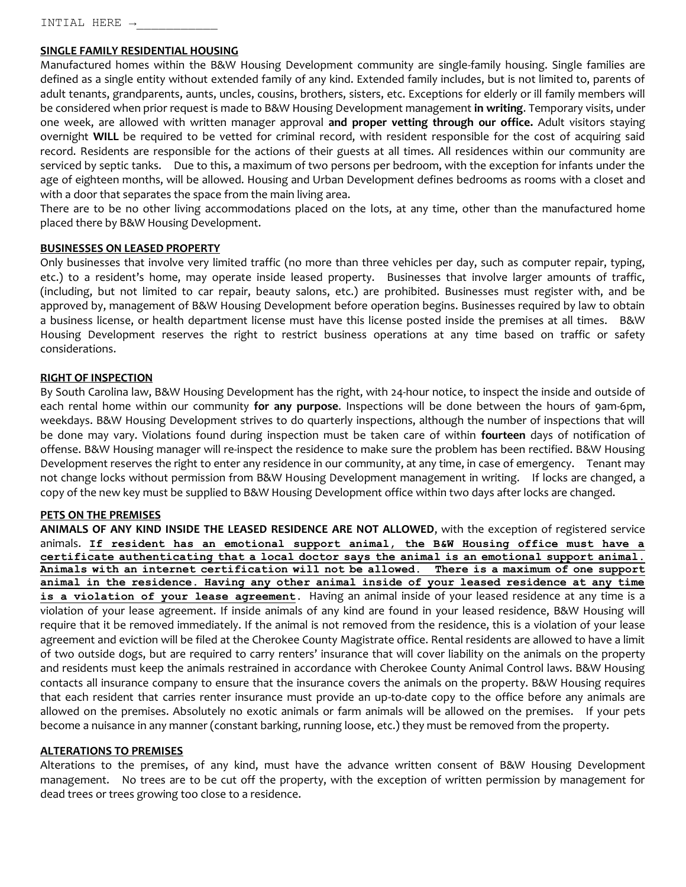INTIAL HERE →\_\_\_\_\_\_\_\_\_\_\_

## **SINGLE FAMILY RESIDENTIAL HOUSING**

Manufactured homes within the B&W Housing Development community are single-family housing. Single families are defined as a single entity without extended family of any kind. Extended family includes, but is not limited to, parents of adult tenants, grandparents, aunts, uncles, cousins, brothers, sisters, etc. Exceptions for elderly or ill family members will be considered when prior request is made to B&W Housing Development management **in writing**. Temporary visits, under one week, are allowed with written manager approval **and proper vetting through our office.** Adult visitors staying overnight **WILL** be required to be vetted for criminal record, with resident responsible for the cost of acquiring said record. Residents are responsible for the actions of their guests at all times. All residences within our community are serviced by septic tanks. Due to this, a maximum of two persons per bedroom, with the exception for infants under the age of eighteen months, will be allowed. Housing and Urban Development defines bedrooms as rooms with a closet and with a door that separates the space from the main living area.

There are to be no other living accommodations placed on the lots, at any time, other than the manufactured home placed there by B&W Housing Development.

### **BUSINESSES ON LEASED PROPERTY**

Only businesses that involve very limited traffic (no more than three vehicles per day, such as computer repair, typing, etc.) to a resident's home, may operate inside leased property. Businesses that involve larger amounts of traffic, (including, but not limited to car repair, beauty salons, etc.) are prohibited. Businesses must register with, and be approved by, management of B&W Housing Development before operation begins. Businesses required by law to obtain a business license, or health department license must have this license posted inside the premises at all times. B&W Housing Development reserves the right to restrict business operations at any time based on traffic or safety considerations.

#### **RIGHT OF INSPECTION**

By South Carolina law, B&W Housing Development has the right, with 24-hour notice, to inspect the inside and outside of each rental home within our community **for any purpose**. Inspections will be done between the hours of 9am-6pm, weekdays. B&W Housing Development strives to do quarterly inspections, although the number of inspections that will be done may vary. Violations found during inspection must be taken care of within **fourteen** days of notification of offense. B&W Housing manager will re-inspect the residence to make sure the problem has been rectified. B&W Housing Development reserves the right to enter any residence in our community, at any time, in case of emergency. Tenant may not change locks without permission from B&W Housing Development management in writing. If locks are changed, a copy of the new key must be supplied to B&W Housing Development office within two days after locks are changed.

### **PETS ON THE PREMISES**

**ANIMALS OF ANY KIND INSIDE THE LEASED RESIDENCE ARE NOT ALLOWED**, with the exception of registered service animals. **If resident has an emotional support animal, the B&W Housing office must have a certificate authenticating that a local doctor says the animal is an emotional support animal. Animals with an internet certification will not be allowed. There is a maximum of one support animal in the residence. Having any other animal inside of your leased residence at any time is a violation of your lease agreement**. Having an animal inside of your leased residence at any time is a violation of your lease agreement. If inside animals of any kind are found in your leased residence, B&W Housing will require that it be removed immediately. If the animal is not removed from the residence, this is a violation of your lease agreement and eviction will be filed at the Cherokee County Magistrate office. Rental residents are allowed to have a limit of two outside dogs, but are required to carry renters' insurance that will cover liability on the animals on the property and residents must keep the animals restrained in accordance with Cherokee County Animal Control laws. B&W Housing contacts all insurance company to ensure that the insurance covers the animals on the property. B&W Housing requires that each resident that carries renter insurance must provide an up-to-date copy to the office before any animals are allowed on the premises. Absolutely no exotic animals or farm animals will be allowed on the premises. If your pets become a nuisance in any manner (constant barking, running loose, etc.) they must be removed from the property.

#### **ALTERATIONS TO PREMISES**

Alterations to the premises, of any kind, must have the advance written consent of B&W Housing Development management. No trees are to be cut off the property, with the exception of written permission by management for dead trees or trees growing too close to a residence.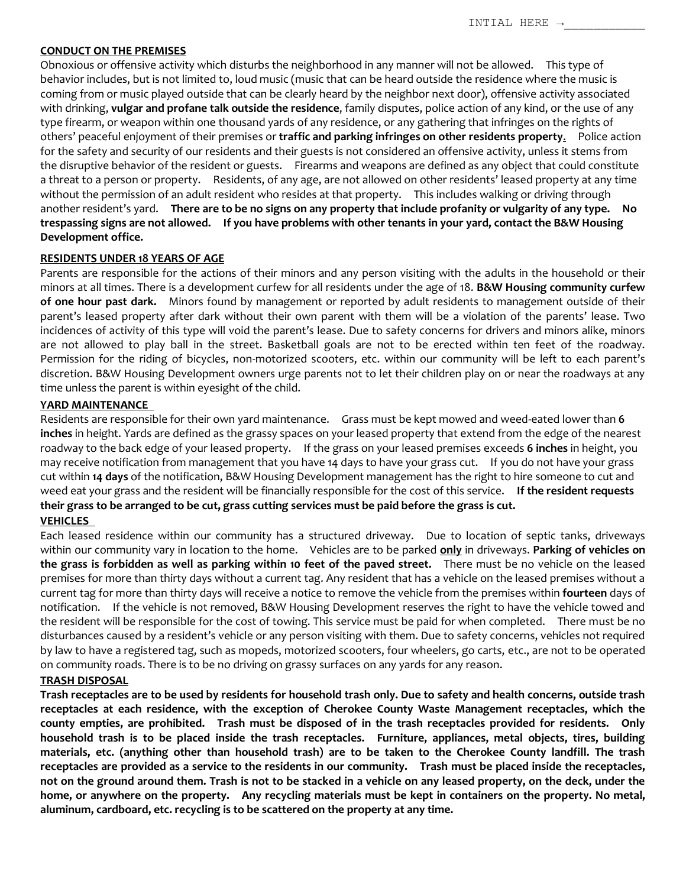### **CONDUCT ON THE PREMISES**

Obnoxious or offensive activity which disturbs the neighborhood in any manner will not be allowed. This type of behavior includes, but is not limited to, loud music (music that can be heard outside the residence where the music is coming from or music played outside that can be clearly heard by the neighbor next door), offensive activity associated with drinking, **vulgar and profane talk outside the residence**, family disputes, police action of any kind, or the use of any type firearm, or weapon within one thousand yards of any residence, or any gathering that infringes on the rights of others' peaceful enjoyment of their premises or **traffic and parking infringes on other residents property**. Police action for the safety and security of our residents and their guests is not considered an offensive activity, unless it stems from the disruptive behavior of the resident or guests. Firearms and weapons are defined as any object that could constitute a threat to a person or property. Residents, of any age, are not allowed on other residents' leased property at any time without the permission of an adult resident who resides at that property. This includes walking or driving through another resident's yard. **There are to be no signs on any property that include profanity or vulgarity of any type. No trespassing signs are not allowed. If you have problems with other tenants in your yard, contact the B&W Housing Development office.**

## **RESIDENTS UNDER 18 YEARS OF AGE**

Parents are responsible for the actions of their minors and any person visiting with the adults in the household or their minors at all times. There is a development curfew for all residents under the age of 18. **B&W Housing community curfew of one hour past dark.** Minors found by management or reported by adult residents to management outside of their parent's leased property after dark without their own parent with them will be a violation of the parents' lease. Two incidences of activity of this type will void the parent's lease. Due to safety concerns for drivers and minors alike, minors are not allowed to play ball in the street. Basketball goals are not to be erected within ten feet of the roadway. Permission for the riding of bicycles, non-motorized scooters, etc. within our community will be left to each parent's discretion. B&W Housing Development owners urge parents not to let their children play on or near the roadways at any time unless the parent is within eyesight of the child.

### **YARD MAINTENANCE**

Residents are responsible for their own yard maintenance. Grass must be kept mowed and weed-eated lower than **6 inches** in height. Yards are defined as the grassy spaces on your leased property that extend from the edge of the nearest roadway to the back edge of your leased property. If the grass on your leased premises exceeds **6 inches** in height, you may receive notification from management that you have 14 days to have your grass cut. If you do not have your grass cut within **14 days** of the notification, B&W Housing Development management has the right to hire someone to cut and weed eat your grass and the resident will be financially responsible for the cost of this service. **If the resident requests their grass to be arranged to be cut, grass cutting services must be paid before the grass is cut.**

# **VEHICLES**

Each leased residence within our community has a structured driveway. Due to location of septic tanks, driveways within our community vary in location to the home. Vehicles are to be parked **only** in driveways. **Parking of vehicles on the grass is forbidden as well as parking within 10 feet of the paved street.** There must be no vehicle on the leased premises for more than thirty days without a current tag. Any resident that has a vehicle on the leased premises without a current tag for more than thirty days will receive a notice to remove the vehicle from the premises within **fourteen** days of notification. If the vehicle is not removed, B&W Housing Development reserves the right to have the vehicle towed and the resident will be responsible for the cost of towing. This service must be paid for when completed. There must be no disturbances caused by a resident's vehicle or any person visiting with them. Due to safety concerns, vehicles not required by law to have a registered tag, such as mopeds, motorized scooters, four wheelers, go carts, etc., are not to be operated on community roads. There is to be no driving on grassy surfaces on any yards for any reason.

### **TRASH DISPOSAL**

**Trash receptacles are to be used by residents for household trash only. Due to safety and health concerns, outside trash receptacles at each residence, with the exception of Cherokee County Waste Management receptacles, which the county empties, are prohibited. Trash must be disposed of in the trash receptacles provided for residents. Only household trash is to be placed inside the trash receptacles. Furniture, appliances, metal objects, tires, building materials, etc. (anything other than household trash) are to be taken to the Cherokee County landfill. The trash receptacles are provided as a service to the residents in our community. Trash must be placed inside the receptacles, not on the ground around them. Trash is not to be stacked in a vehicle on any leased property, on the deck, under the home, or anywhere on the property. Any recycling materials must be kept in containers on the property. No metal, aluminum, cardboard, etc. recycling is to be scattered on the property at any time.**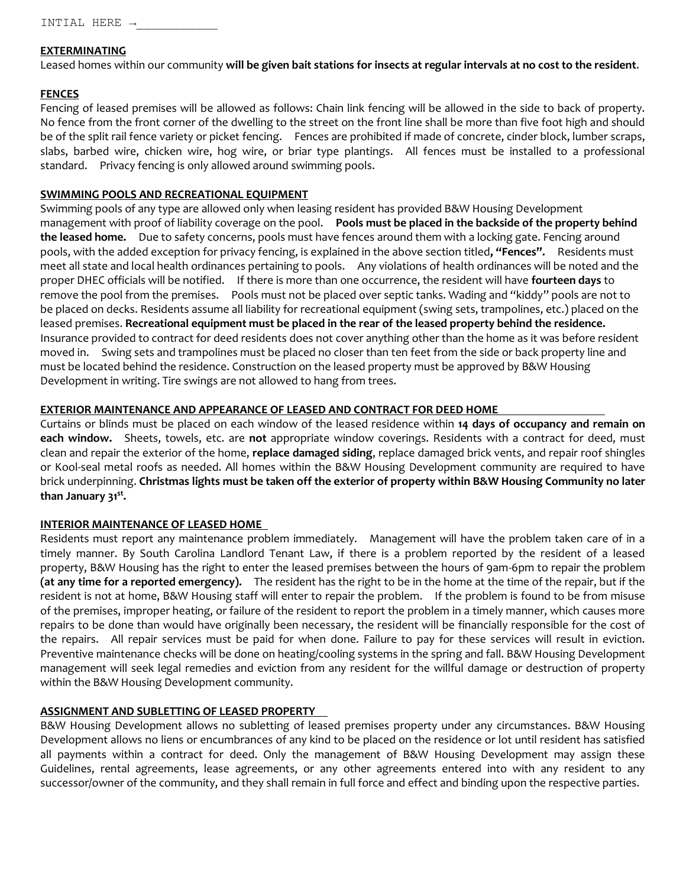# **EXTERMINATING**

Leased homes within our community **will be given bait stations for insects at regular intervals at no cost to the resident**.

# **FENCES**

Fencing of leased premises will be allowed as follows: Chain link fencing will be allowed in the side to back of property. No fence from the front corner of the dwelling to the street on the front line shall be more than five foot high and should be of the split rail fence variety or picket fencing. Fences are prohibited if made of concrete, cinder block, lumber scraps, slabs, barbed wire, chicken wire, hog wire, or briar type plantings. All fences must be installed to a professional standard. Privacy fencing is only allowed around swimming pools.

# **SWIMMING POOLS AND RECREATIONAL EQUIPMENT**

Swimming pools of any type are allowed only when leasing resident has provided B&W Housing Development management with proof of liability coverage on the pool. **Pools must be placed in the backside of the property behind the leased home.** Due to safety concerns, pools must have fences around them with a locking gate. Fencing around pools, with the added exception for privacy fencing, is explained in the above section titled**, "Fences".** Residents must meet all state and local health ordinances pertaining to pools. Any violations of health ordinances will be noted and the proper DHEC officials will be notified. If there is more than one occurrence, the resident will have **fourteen days** to remove the pool from the premises. Pools must not be placed over septic tanks. Wading and "kiddy" pools are not to be placed on decks. Residents assume all liability for recreational equipment (swing sets, trampolines, etc.) placed on the leased premises. **Recreational equipment must be placed in the rear of the leased property behind the residence.** Insurance provided to contract for deed residents does not cover anything other than the home as it was before resident moved in. Swing sets and trampolines must be placed no closer than ten feet from the side or back property line and must be located behind the residence. Construction on the leased property must be approved by B&W Housing Development in writing. Tire swings are not allowed to hang from trees.

# **EXTERIOR MAINTENANCE AND APPEARANCE OF LEASED AND CONTRACT FOR DEED HOME**

Curtains or blinds must be placed on each window of the leased residence within **14 days of occupancy and remain on each window.** Sheets, towels, etc. are **not** appropriate window coverings. Residents with a contract for deed, must clean and repair the exterior of the home, **replace damaged siding**, replace damaged brick vents, and repair roof shingles or Kool-seal metal roofs as needed. All homes within the B&W Housing Development community are required to have brick underpinning. **Christmas lights must be taken off the exterior of property within B&W Housing Community no later than January 31st .** 

# **INTERIOR MAINTENANCE OF LEASED HOME**

Residents must report any maintenance problem immediately. Management will have the problem taken care of in a timely manner. By South Carolina Landlord Tenant Law, if there is a problem reported by the resident of a leased property, B&W Housing has the right to enter the leased premises between the hours of 9am-6pm to repair the problem **(at any time for a reported emergency).** The resident has the right to be in the home at the time of the repair, but if the resident is not at home, B&W Housing staff will enter to repair the problem. If the problem is found to be from misuse of the premises, improper heating, or failure of the resident to report the problem in a timely manner, which causes more repairs to be done than would have originally been necessary, the resident will be financially responsible for the cost of the repairs. All repair services must be paid for when done. Failure to pay for these services will result in eviction. Preventive maintenance checks will be done on heating/cooling systems in the spring and fall. B&W Housing Development management will seek legal remedies and eviction from any resident for the willful damage or destruction of property within the B&W Housing Development community.

# **ASSIGNMENT AND SUBLETTING OF LEASED PROPERTY**

B&W Housing Development allows no subletting of leased premises property under any circumstances. B&W Housing Development allows no liens or encumbrances of any kind to be placed on the residence or lot until resident has satisfied all payments within a contract for deed. Only the management of B&W Housing Development may assign these Guidelines, rental agreements, lease agreements, or any other agreements entered into with any resident to any successor/owner of the community, and they shall remain in full force and effect and binding upon the respective parties.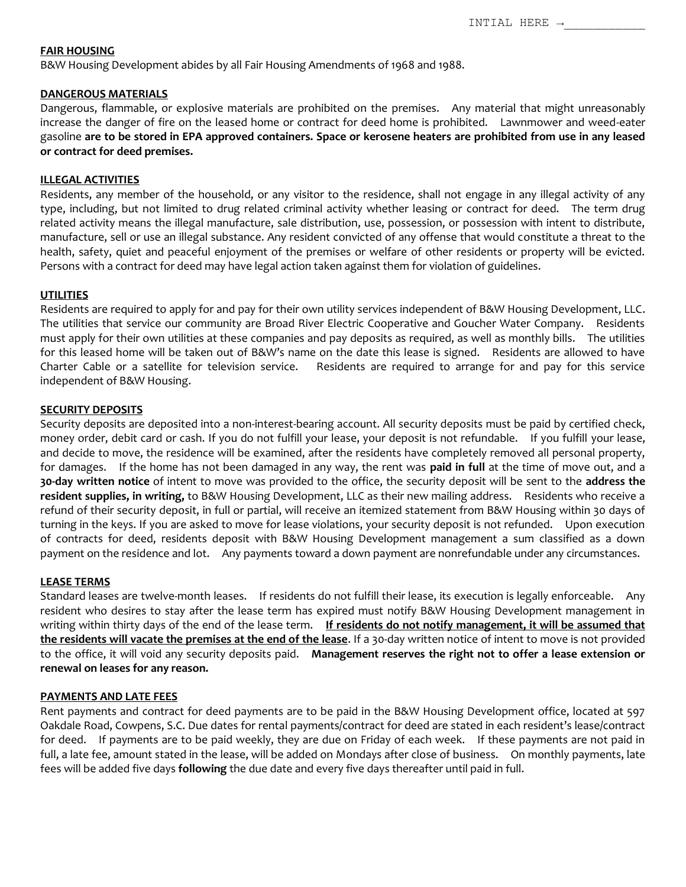#### **FAIR HOUSING**

B&W Housing Development abides by all Fair Housing Amendments of 1968 and 1988.

#### **DANGEROUS MATERIALS**

Dangerous, flammable, or explosive materials are prohibited on the premises. Any material that might unreasonably increase the danger of fire on the leased home or contract for deed home is prohibited. Lawnmower and weed-eater gasoline **are to be stored in EPA approved containers. Space or kerosene heaters are prohibited from use in any leased or contract for deed premises.**

### **ILLEGAL ACTIVITIES**

Residents, any member of the household, or any visitor to the residence, shall not engage in any illegal activity of any type, including, but not limited to drug related criminal activity whether leasing or contract for deed. The term drug related activity means the illegal manufacture, sale distribution, use, possession, or possession with intent to distribute, manufacture, sell or use an illegal substance. Any resident convicted of any offense that would constitute a threat to the health, safety, quiet and peaceful enjoyment of the premises or welfare of other residents or property will be evicted. Persons with a contract for deed may have legal action taken against them for violation of guidelines.

#### **UTILITIES**

Residents are required to apply for and pay for their own utility services independent of B&W Housing Development, LLC. The utilities that service our community are Broad River Electric Cooperative and Goucher Water Company. Residents must apply for their own utilities at these companies and pay deposits as required, as well as monthly bills. The utilities for this leased home will be taken out of B&W's name on the date this lease is signed. Residents are allowed to have Charter Cable or a satellite for television service. Residents are required to arrange for and pay for this service independent of B&W Housing.

#### **SECURITY DEPOSITS**

Security deposits are deposited into a non-interest-bearing account. All security deposits must be paid by certified check, money order, debit card or cash. If you do not fulfill your lease, your deposit is not refundable. If you fulfill your lease, and decide to move, the residence will be examined, after the residents have completely removed all personal property, for damages. If the home has not been damaged in any way, the rent was **paid in full** at the time of move out, and a **30-day written notice** of intent to move was provided to the office, the security deposit will be sent to the **address the resident supplies, in writing,** to B&W Housing Development, LLC as their new mailing address. Residents who receive a refund of their security deposit, in full or partial, will receive an itemized statement from B&W Housing within 30 days of turning in the keys. If you are asked to move for lease violations, your security deposit is not refunded. Upon execution of contracts for deed, residents deposit with B&W Housing Development management a sum classified as a down payment on the residence and lot. Any payments toward a down payment are nonrefundable under any circumstances.

#### **LEASE TERMS**

Standard leases are twelve-month leases. If residents do not fulfill their lease, its execution is legally enforceable. Any resident who desires to stay after the lease term has expired must notify B&W Housing Development management in writing within thirty days of the end of the lease term. **If residents do not notify management, it will be assumed that the residents will vacate the premises at the end of the lease**. If a 30-day written notice of intent to move is not provided to the office, it will void any security deposits paid. **Management reserves the right not to offer a lease extension or renewal on leases for any reason.**

#### **PAYMENTS AND LATE FEES**

Rent payments and contract for deed payments are to be paid in the B&W Housing Development office, located at 597 Oakdale Road, Cowpens, S.C. Due dates for rental payments/contract for deed are stated in each resident's lease/contract for deed. If payments are to be paid weekly, they are due on Friday of each week. If these payments are not paid in full, a late fee, amount stated in the lease, will be added on Mondays after close of business. On monthly payments, late fees will be added five days **following** the due date and every five days thereafter until paid in full.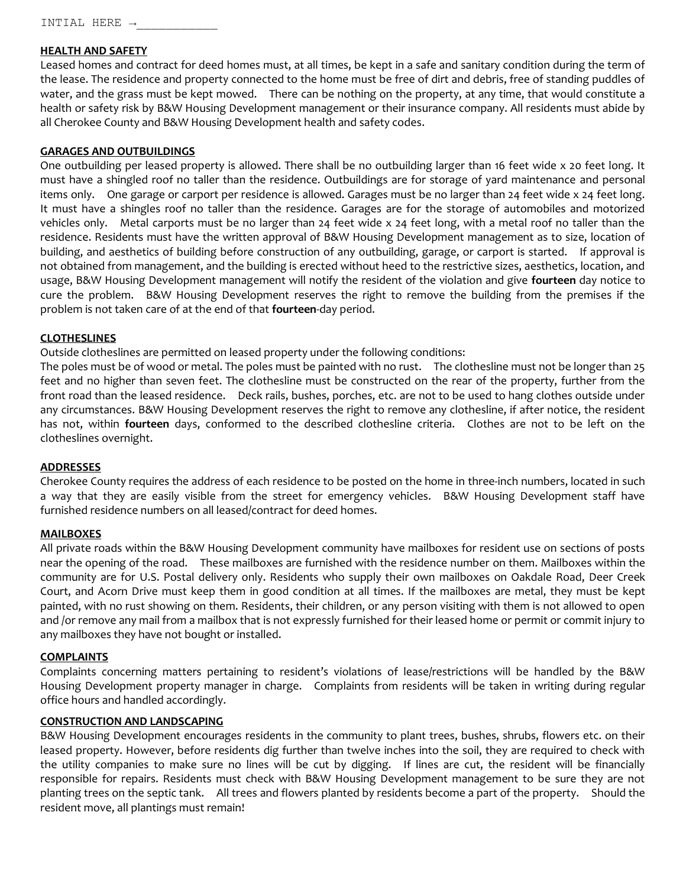INTIAL HERE →\_\_\_\_\_\_\_\_\_\_\_

## **HEALTH AND SAFETY**

Leased homes and contract for deed homes must, at all times, be kept in a safe and sanitary condition during the term of the lease. The residence and property connected to the home must be free of dirt and debris, free of standing puddles of water, and the grass must be kept mowed. There can be nothing on the property, at any time, that would constitute a health or safety risk by B&W Housing Development management or their insurance company. All residents must abide by all Cherokee County and B&W Housing Development health and safety codes.

## **GARAGES AND OUTBUILDINGS**

One outbuilding per leased property is allowed. There shall be no outbuilding larger than 16 feet wide x 20 feet long. It must have a shingled roof no taller than the residence. Outbuildings are for storage of yard maintenance and personal items only. One garage or carport per residence is allowed. Garages must be no larger than 24 feet wide x 24 feet long. It must have a shingles roof no taller than the residence. Garages are for the storage of automobiles and motorized vehicles only. Metal carports must be no larger than 24 feet wide x 24 feet long, with a metal roof no taller than the residence. Residents must have the written approval of B&W Housing Development management as to size, location of building, and aesthetics of building before construction of any outbuilding, garage, or carport is started. If approval is not obtained from management, and the building is erected without heed to the restrictive sizes, aesthetics, location, and usage, B&W Housing Development management will notify the resident of the violation and give **fourteen** day notice to cure the problem. B&W Housing Development reserves the right to remove the building from the premises if the problem is not taken care of at the end of that **fourteen**-day period.

## **CLOTHESLINES**

Outside clotheslines are permitted on leased property under the following conditions:

The poles must be of wood or metal. The poles must be painted with no rust. The clothesline must not be longer than 25 feet and no higher than seven feet. The clothesline must be constructed on the rear of the property, further from the front road than the leased residence. Deck rails, bushes, porches, etc. are not to be used to hang clothes outside under any circumstances. B&W Housing Development reserves the right to remove any clothesline, if after notice, the resident has not, within **fourteen** days, conformed to the described clothesline criteria. Clothes are not to be left on the clotheslines overnight.

### **ADDRESSES**

Cherokee County requires the address of each residence to be posted on the home in three-inch numbers, located in such a way that they are easily visible from the street for emergency vehicles. B&W Housing Development staff have furnished residence numbers on all leased/contract for deed homes.

### **MAILBOXES**

All private roads within the B&W Housing Development community have mailboxes for resident use on sections of posts near the opening of the road. These mailboxes are furnished with the residence number on them. Mailboxes within the community are for U.S. Postal delivery only. Residents who supply their own mailboxes on Oakdale Road, Deer Creek Court, and Acorn Drive must keep them in good condition at all times. If the mailboxes are metal, they must be kept painted, with no rust showing on them. Residents, their children, or any person visiting with them is not allowed to open and /or remove any mail from a mailbox that is not expressly furnished for their leased home or permit or commit injury to any mailboxes they have not bought or installed.

### **COMPLAINTS**

Complaints concerning matters pertaining to resident's violations of lease/restrictions will be handled by the B&W Housing Development property manager in charge. Complaints from residents will be taken in writing during regular office hours and handled accordingly.

# **CONSTRUCTION AND LANDSCAPING**

B&W Housing Development encourages residents in the community to plant trees, bushes, shrubs, flowers etc. on their leased property. However, before residents dig further than twelve inches into the soil, they are required to check with the utility companies to make sure no lines will be cut by digging. If lines are cut, the resident will be financially responsible for repairs. Residents must check with B&W Housing Development management to be sure they are not planting trees on the septic tank. All trees and flowers planted by residents become a part of the property. Should the resident move, all plantings must remain!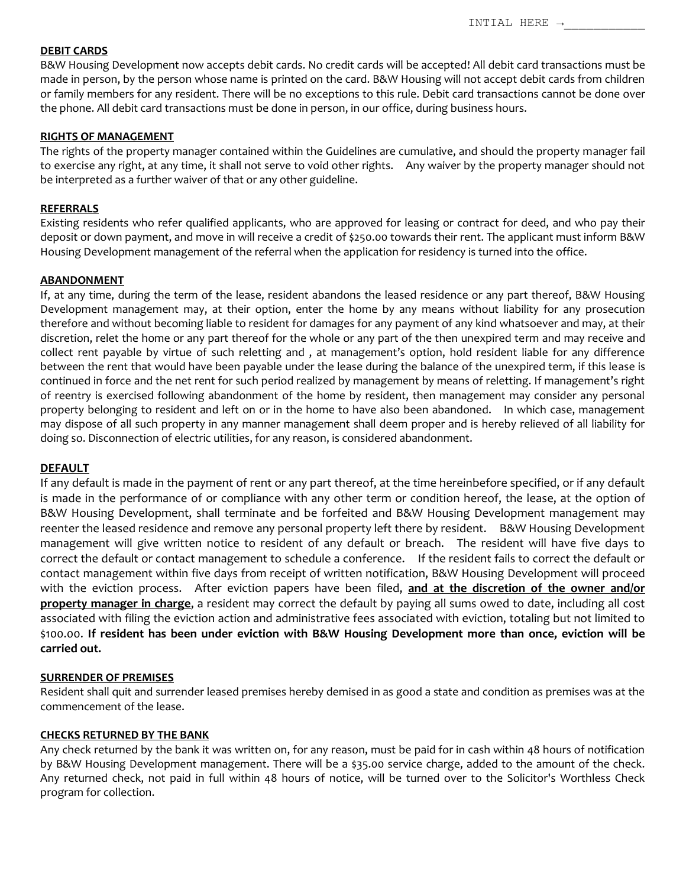## **DEBIT CARDS**

B&W Housing Development now accepts debit cards. No credit cards will be accepted! All debit card transactions must be made in person, by the person whose name is printed on the card. B&W Housing will not accept debit cards from children or family members for any resident. There will be no exceptions to this rule. Debit card transactions cannot be done over the phone. All debit card transactions must be done in person, in our office, during business hours.

#### **RIGHTS OF MANAGEMENT**

The rights of the property manager contained within the Guidelines are cumulative, and should the property manager fail to exercise any right, at any time, it shall not serve to void other rights. Any waiver by the property manager should not be interpreted as a further waiver of that or any other guideline.

#### **REFERRALS**

Existing residents who refer qualified applicants, who are approved for leasing or contract for deed, and who pay their deposit or down payment, and move in will receive a credit of \$250.00 towards their rent. The applicant must inform B&W Housing Development management of the referral when the application for residency is turned into the office.

#### **ABANDONMENT**

If, at any time, during the term of the lease, resident abandons the leased residence or any part thereof, B&W Housing Development management may, at their option, enter the home by any means without liability for any prosecution therefore and without becoming liable to resident for damages for any payment of any kind whatsoever and may, at their discretion, relet the home or any part thereof for the whole or any part of the then unexpired term and may receive and collect rent payable by virtue of such reletting and , at management's option, hold resident liable for any difference between the rent that would have been payable under the lease during the balance of the unexpired term, if this lease is continued in force and the net rent for such period realized by management by means of reletting. If management's right of reentry is exercised following abandonment of the home by resident, then management may consider any personal property belonging to resident and left on or in the home to have also been abandoned. In which case, management may dispose of all such property in any manner management shall deem proper and is hereby relieved of all liability for doing so. Disconnection of electric utilities, for any reason, is considered abandonment.

### **DEFAULT**

If any default is made in the payment of rent or any part thereof, at the time hereinbefore specified, or if any default is made in the performance of or compliance with any other term or condition hereof, the lease, at the option of B&W Housing Development, shall terminate and be forfeited and B&W Housing Development management may reenter the leased residence and remove any personal property left there by resident. B&W Housing Development management will give written notice to resident of any default or breach. The resident will have five days to correct the default or contact management to schedule a conference. If the resident fails to correct the default or contact management within five days from receipt of written notification, B&W Housing Development will proceed with the eviction process. After eviction papers have been filed, **and at the discretion of the owner and/or property manager in charge**, a resident may correct the default by paying all sums owed to date, including all cost associated with filing the eviction action and administrative fees associated with eviction, totaling but not limited to \$100.00. **If resident has been under eviction with B&W Housing Development more than once, eviction will be carried out.**

### **SURRENDER OF PREMISES**

Resident shall quit and surrender leased premises hereby demised in as good a state and condition as premises was at the commencement of the lease.

### **CHECKS RETURNED BY THE BANK**

Any check returned by the bank it was written on, for any reason, must be paid for in cash within 48 hours of notification by B&W Housing Development management. There will be a \$35.00 service charge, added to the amount of the check. Any returned check, not paid in full within 48 hours of notice, will be turned over to the Solicitor's Worthless Check program for collection.